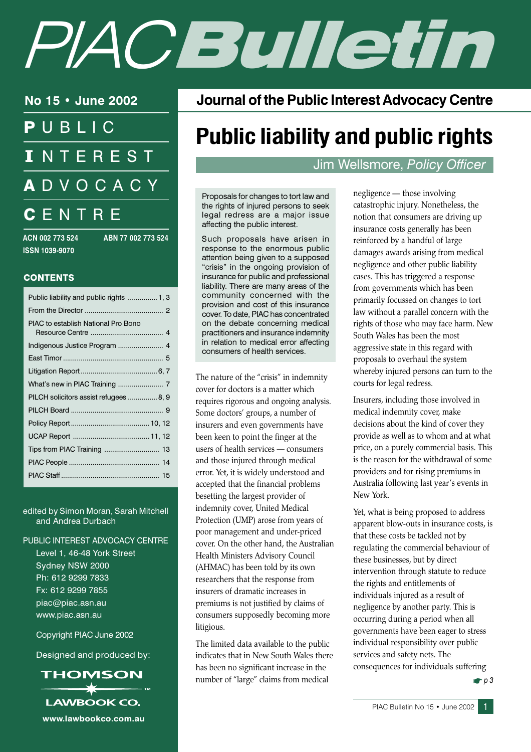# PIACEUILetin

No 15 • June 2002

PUBLIC **INTEREST ADVOCACY** CENTRE

ACN 002 773 524 **ISSN 1039-9070** 

ABN 77 002 773 524

#### **CONTENTS**

| Public liability and public rights  1, 3 |  |
|------------------------------------------|--|
|                                          |  |
| PIAC to establish National Pro Bono      |  |
|                                          |  |
|                                          |  |
|                                          |  |
|                                          |  |
| PILCH solicitors assist refugees  8, 9   |  |
|                                          |  |
|                                          |  |
|                                          |  |
|                                          |  |
|                                          |  |
|                                          |  |
|                                          |  |

edited by Simon Moran, Sarah Mitchell and Andrea Durbach

#### PUBLIC INTEREST ADVOCACY CENTRE

Level 1, 46-48 York Street Sydney NSW 2000 Ph: 612 9299 7833 Fx: 612 9299 7855 piac@piac.asn.au www.piac.asn.au

Copyright PIAC June 2002

Designed and produced by:



**Journal of the Public Interest Advocacy Centre** 

# **Public liability and public rights**

# Jim Wellsmore, Policy Officer

Proposals for changes to tort law and the rights of injured persons to seek legal redress are a major issue affecting the public interest.

Such proposals have arisen in response to the enormous public attention being given to a supposed "crisis" in the ongoing provision of insurance for public and professional liability. There are many areas of the community concerned with the provision and cost of this insurance cover. To date, PIAC has concentrated on the debate concerning medical practitioners and insurance indemnity in relation to medical error affecting consumers of health services.

The nature of the "crisis" in indemnity cover for doctors is a matter which requires rigorous and ongoing analysis. Some doctors' groups, a number of insurers and even governments have been keen to point the finger at the users of health services - consumers and those injured through medical error. Yet, it is widely understood and accepted that the financial problems besetting the largest provider of indemnity cover, United Medical Protection (UMP) arose from years of poor management and under-priced cover. On the other hand, the Australian Health Ministers Advisory Council (AHMAC) has been told by its own researchers that the response from insurers of dramatic increases in premiums is not justified by claims of consumers supposedly becoming more litigious.

The limited data available to the public indicates that in New South Wales there has been no significant increase in the number of "large" claims from medical

negligence — those involving catastrophic injury. Nonetheless, the notion that consumers are driving up insurance costs generally has been reinforced by a handful of large damages awards arising from medical negligence and other public liability cases. This has triggered a response from governments which has been primarily focussed on changes to tort law without a parallel concern with the rights of those who may face harm. New South Wales has been the most aggressive state in this regard with proposals to overhaul the system whereby injured persons can turn to the courts for legal redress.

Insurers, including those involved in medical indemnity cover, make decisions about the kind of cover they provide as well as to whom and at what price, on a purely commercial basis. This is the reason for the withdrawal of some providers and for rising premiums in Australia following last year's events in New York.

Yet, what is being proposed to address apparent blow-outs in insurance costs, is that these costs be tackled not by regulating the commercial behaviour of these businesses, but by direct intervention through statute to reduce the rights and entitlements of individuals injured as a result of negligence by another party. This is occurring during a period when all governments have been eager to stress individual responsibility over public services and safety nets. The consequences for individuals suffering

 $P^2$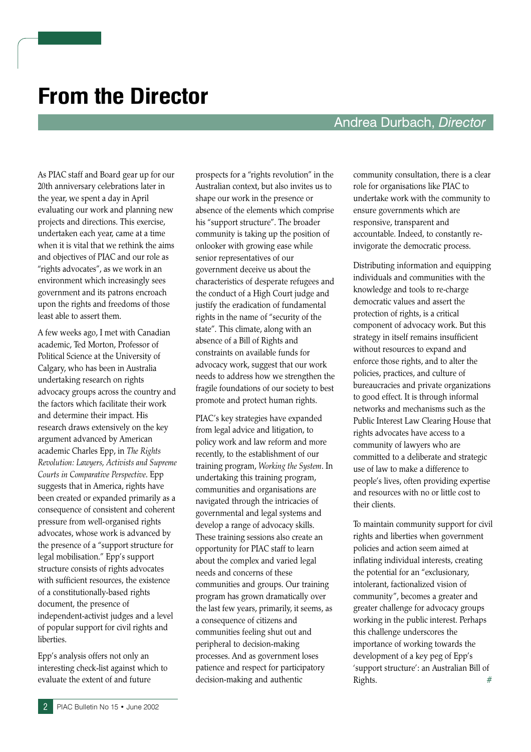# **From the Director**

#### Andrea Durbach, Director

As PIAC staff and Board gear up for our 20th anniversary celebrations later in the year, we spent a day in April evaluating our work and planning new projects and directions. This exercise, undertaken each year, came at a time when it is vital that we rethink the aims and objectives of PIAC and our role as "rights advocates", as we work in an environment which increasingly sees government and its patrons encroach upon the rights and freedoms of those least able to assert them.

A few weeks ago, I met with Canadian academic, Ted Morton, Professor of Political Science at the University of Calgary, who has been in Australia undertaking research on rights advocacy groups across the country and the factors which facilitate their work and determine their impact. His research draws extensively on the key argument advanced by American academic Charles Epp, in The Rights Revolution: Lawyers, Activists and Supreme Courts in Comparative Perspective. Epp suggests that in America, rights have been created or expanded primarily as a consequence of consistent and coherent pressure from well-organised rights advocates, whose work is advanced by the presence of a "support structure for legal mobilisation." Epp's support structure consists of rights advocates with sufficient resources, the existence of a constitutionally-based rights document, the presence of independent-activist judges and a level of popular support for civil rights and liberties.

Epp's analysis offers not only an interesting check-list against which to evaluate the extent of and future

prospects for a "rights revolution" in the Australian context, but also invites us to shape our work in the presence or absence of the elements which comprise his "support structure". The broader community is taking up the position of onlooker with growing ease while senior representatives of our government deceive us about the characteristics of desperate refugees and the conduct of a High Court judge and justify the eradication of fundamental rights in the name of "security of the state". This climate, along with an absence of a Bill of Rights and constraints on available funds for advocacy work, suggest that our work needs to address how we strengthen the fragile foundations of our society to best promote and protect human rights.

PIAC's key strategies have expanded from legal advice and litigation, to policy work and law reform and more recently, to the establishment of our training program, Working the System. In undertaking this training program, communities and organisations are navigated through the intricacies of governmental and legal systems and develop a range of advocacy skills. These training sessions also create an opportunity for PIAC staff to learn about the complex and varied legal needs and concerns of these communities and groups. Our training program has grown dramatically over the last few years, primarily, it seems, as a consequence of citizens and communities feeling shut out and peripheral to decision-making processes. And as government loses patience and respect for participatory decision-making and authentic

community consultation, there is a clear role for organisations like PIAC to undertake work with the community to ensure governments which are responsive, transparent and accountable. Indeed, to constantly reinvigorate the democratic process.

Distributing information and equipping individuals and communities with the knowledge and tools to re-charge democratic values and assert the protection of rights, is a critical component of advocacy work. But this strategy in itself remains insufficient without resources to expand and enforce those rights, and to alter the policies, practices, and culture of bureaucracies and private organizations to good effect. It is through informal networks and mechanisms such as the Public Interest Law Clearing House that rights advocates have access to a community of lawyers who are committed to a deliberate and strategic use of law to make a difference to people's lives, often providing expertise and resources with no or little cost to their clients.

To maintain community support for civil rights and liberties when government policies and action seem aimed at inflating individual interests, creating the potential for an "exclusionary, intolerant, factionalized vision of community", becomes a greater and greater challenge for advocacy groups working in the public interest. Perhaps this challenge underscores the importance of working towards the development of a key peg of Epp's 'support structure': an Australian Bill of Rights.  $#$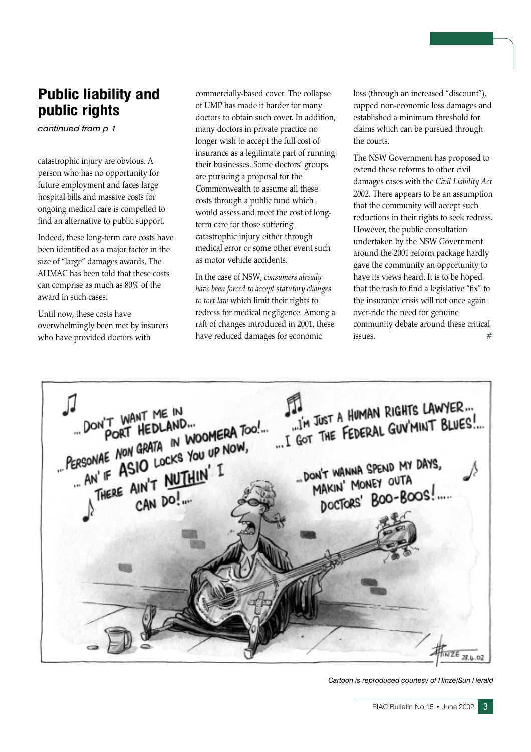# **Public liability and** public rights

continued from p 1

catastrophic injury are obvious. A person who has no opportunity for future employment and faces large hospital bills and massive costs for ongoing medical care is compelled to find an alternative to public support.

Indeed, these long-term care costs have been identified as a major factor in the size of "large" damages awards. The AHMAC has been told that these costs can comprise as much as 80% of the award in such cases.

Until now, these costs have overwhelmingly been met by insurers who have provided doctors with

commercially-based cover. The collapse of UMP has made it harder for many doctors to obtain such cover. In addition, many doctors in private practice no longer wish to accept the full cost of insurance as a legitimate part of running their businesses. Some doctors' groups are pursuing a proposal for the Commonwealth to assume all these costs through a public fund which would assess and meet the cost of longterm care for those suffering catastrophic injury either through medical error or some other event such as motor vehicle accidents.

In the case of NSW, consumers already have been forced to accept statutory changes to tort law which limit their rights to redress for medical negligence. Among a raft of changes introduced in 2001, these have reduced damages for economic

loss (through an increased "discount"), capped non-economic loss damages and established a minimum threshold for claims which can be pursued through the courts.

The NSW Government has proposed to extend these reforms to other civil damages cases with the Civil Liability Act 2002. There appears to be an assumption that the community will accept such reductions in their rights to seek redress. However, the public consultation undertaken by the NSW Government around the 2001 reform package hardly gave the community an opportunity to have its views heard. It is to be hoped that the rush to find a legislative "fix" to the insurance crisis will not once again over-ride the need for genuine community debate around these critical issues.



Cartoon is reproduced courtesy of Hinze/Sun Herald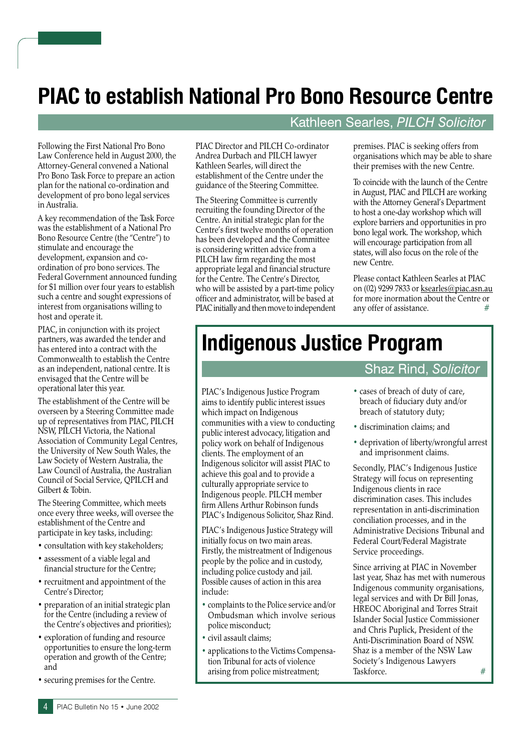# **PIAC to establish National Pro Bono Resource Centre**

Following the First National Pro Bono Law Conference held in August 2000, the Attorney-General convened a National Pro Bono Task Force to prepare an action plan for the national co-ordination and development of pro bono legal services in Australia.

A key recommendation of the Task Force was the establishment of a National Pro Bono Resource Centre (the "Centre") to stimulate and encourage the development, expansion and coordination of pro bono services. The Federal Government announced funding for \$1 million over four years to establish such a centre and sought expressions of interest from organisations willing to host and operate it.

PIAC, in conjunction with its project partners, was awarded the tender and has entered into a contract with the Commonwealth to establish the Centre as an independent, national centre. It is envisaged that the Centre will be operational later this year.

The establishment of the Centre will be overseen by a Steering Committee made up of representatives from PIAC, PILCH NSW, PILCH Victoria, the National Association of Community Legal Centres, the University of New South Wales, the Law Society of Western Australia, the Law Council of Australia, the Australian Council of Social Service, QPILCH and Gilbert & Tobin.

The Steering Committee, which meets once every three weeks, will oversee the establishment of the Centre and participate in key tasks, including:

- consultation with key stakeholders;
- assessment of a viable legal and financial structure for the Centre;
- recruitment and appointment of the Centre's Director;
- preparation of an initial strategic plan for the Centre (including a review of the Centre's objectives and priorities);
- exploration of funding and resource opportunities to ensure the long-term operation and growth of the Centre; and
- securing premises for the Centre.

PIAC Director and PILCH Co-ordinator Andrea Durbach and PILCH lawver Kathleen Searles, will direct the establishment of the Centre under the guidance of the Steering Committee.

The Steering Committee is currently recruiting the founding Director of the Centre. An initial strategic plan for the Centre's first twelve months of operation has been developed and the Committee is considering written advice from a PILCH law firm regarding the most appropriate legal and financial structure for the Centre. The Centre's Director, who will be assisted by a part-time policy officer and administrator, will be based at PIAC initially and then move to independent

# Kathleen Searles, PILCH Solicitor

premises. PIAC is seeking offers from organisations which may be able to share their premises with the new Centre.

To coincide with the launch of the Centre in August, PIAC and PILCH are working with the Attorney General's Department to host a one-day workshop which will explore barriers and opportunities in pro bono legal work. The workshop, which will encourage participation from all states, will also focus on the role of the new Centre.

Please contact Kathleen Searles at PIAC on (02) 9299 7833 or ksearles@piac.asn.au for more inormation about the Centre or any offer of assistance.  $#$ 

# **Indigenous Justice Program**

PIAC's Indigenous Justice Program aims to identify public interest issues which impact on Indigenous communities with a view to conducting public interest advocacy, litigation and policy work on behalf of Indigenous clients. The employment of an Indigenous solicitor will assist PIAC to achieve this goal and to provide a culturally appropriate service to Indigenous people. PILCH member firm Allens Arthur Robinson funds PIAC's Indigenous Solicitor, Shaz Rind.

PIAC's Indigenous Justice Strategy will initially focus on two main areas. Firstly, the mistreatment of Indigenous people by the police and in custody, including police custody and jail. Possible causes of action in this area include:

- complaints to the Police service and/or Ombudsman which involve serious police misconduct;
- civil assault claims;
- applications to the Victims Compensation Tribunal for acts of violence arising from police mistreatment;

### **Shaz Rind, Solicitor**

- cases of breach of duty of care. breach of fiduciary duty and/or breach of statutory duty;
- · discrimination claims; and
- deprivation of liberty/wrongful arrest and imprisonment claims.

Secondly, PIAC's Indigenous Justice Strategy will focus on representing Indigenous clients in race discrimination cases. This includes representation in anti-discrimination conciliation processes, and in the Administrative Decisions Tribunal and Federal Court/Federal Magistrate Service proceedings.

Since arriving at PIAC in November last year, Shaz has met with numerous Indigenous community organisations, legal services and with Dr Bill Jonas, HREOC Aboriginal and Torres Strait Islander Social Justice Commissioner and Chris Puplick, President of the Anti-Discrimination Board of NSW. Shaz is a member of the NSW Law Society's Indigenous Lawyers  $#$ Taskforce.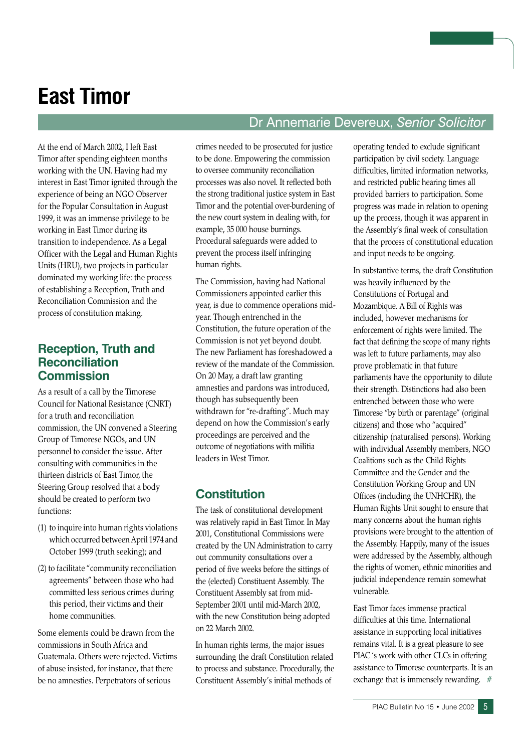# **East Timor**

At the end of March 2002, I left East Timor after spending eighteen months working with the UN. Having had my interest in East Timor ignited through the experience of being an NGO Observer for the Popular Consultation in August 1999, it was an immense privilege to be working in East Timor during its transition to independence. As a Legal Officer with the Legal and Human Rights Units (HRU), two projects in particular dominated my working life: the process of establishing a Reception, Truth and Reconciliation Commission and the process of constitution making.

#### **Reception, Truth and Reconciliation Commission**

As a result of a call by the Timorese Council for National Resistance (CNRT) for a truth and reconciliation commission, the UN convened a Steering Group of Timorese NGOs, and UN personnel to consider the issue. After consulting with communities in the thirteen districts of East Timor, the Steering Group resolved that a body should be created to perform two functions:

- (1) to inquire into human rights violations which occurred between April 1974 and October 1999 (truth seeking); and
- (2) to facilitate "community reconciliation agreements" between those who had committed less serious crimes during this period, their victims and their home communities

Some elements could be drawn from the commissions in South Africa and Guatemala. Others were rejected. Victims of abuse insisted, for instance, that there be no amnesties. Perpetrators of serious

crimes needed to be prosecuted for justice to be done. Empowering the commission to oversee community reconciliation processes was also novel. It reflected both the strong traditional justice system in East Timor and the potential over-burdening of the new court system in dealing with, for example, 35 000 house burnings. Procedural safeguards were added to prevent the process itself infringing human rights.

The Commission, having had National Commissioners appointed earlier this year, is due to commence operations midyear. Though entrenched in the Constitution, the future operation of the Commission is not yet beyond doubt. The new Parliament has foreshadowed a review of the mandate of the Commission. On 20 May, a draft law granting amnesties and pardons was introduced, though has subsequently been withdrawn for "re-drafting". Much may depend on how the Commission's early proceedings are perceived and the outcome of negotiations with militia leaders in West Timor.

# **Constitution**

The task of constitutional development was relatively rapid in East Timor. In May 2001, Constitutional Commissions were created by the UN Administration to carry out community consultations over a period of five weeks before the sittings of the (elected) Constituent Assembly. The Constituent Assembly sat from mid-September 2001 until mid-March 2002, with the new Constitution being adopted on 22 March 2002.

In human rights terms, the major issues surrounding the draft Constitution related to process and substance. Procedurally, the Constituent Assembly's initial methods of

operating tended to exclude significant participation by civil society. Language difficulties, limited information networks, and restricted public hearing times all provided barriers to participation. Some progress was made in relation to opening up the process, though it was apparent in the Assembly's final week of consultation that the process of constitutional education and input needs to be ongoing.

Dr Annemarie Devereux, Senior Solicitor

In substantive terms, the draft Constitution was heavily influenced by the Constitutions of Portugal and Mozambique. A Bill of Rights was included, however mechanisms for enforcement of rights were limited. The fact that defining the scope of many rights was left to future parliaments, may also prove problematic in that future parliaments have the opportunity to dilute their strength. Distinctions had also been entrenched between those who were Timorese "by birth or parentage" (original citizens) and those who "acquired" citizenship (naturalised persons). Working with individual Assembly members, NGO Coalitions such as the Child Rights Committee and the Gender and the Constitution Working Group and UN Offices (including the UNHCHR), the Human Rights Unit sought to ensure that many concerns about the human rights provisions were brought to the attention of the Assembly. Happily, many of the issues were addressed by the Assembly, although the rights of women, ethnic minorities and judicial independence remain somewhat vulnerable.

East Timor faces immense practical difficulties at this time. International assistance in supporting local initiatives remains vital. It is a great pleasure to see PIAC's work with other CLCs in offering assistance to Timorese counterparts. It is an exchange that is immensely rewarding.  $#$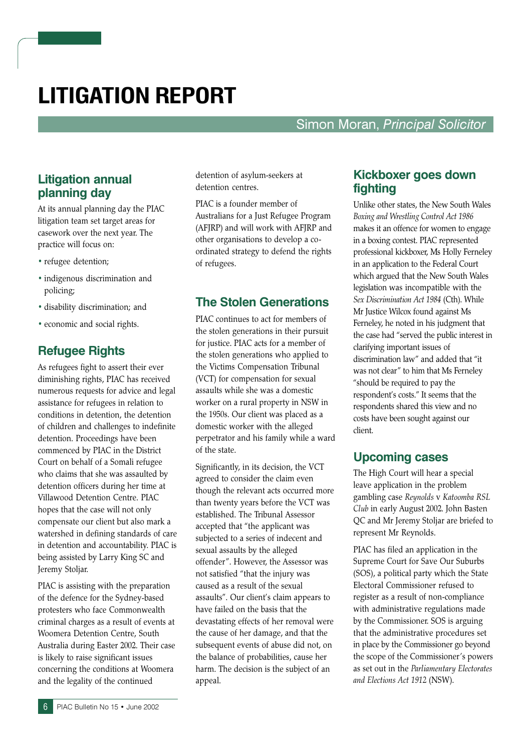# **LITIGATION REPORT**

Simon Moran, Principal Solicitor

# **Litigation annual** planning day

At its annual planning day the PIAC litigation team set target areas for casework over the next year. The practice will focus on:

- refugee detention;
- · indigenous discrimination and policing;
- · disability discrimination; and
- economic and social rights.

#### **Refugee Rights**

As refugees fight to assert their ever diminishing rights, PIAC has received numerous requests for advice and legal assistance for refugees in relation to conditions in detention, the detention of children and challenges to indefinite detention. Proceedings have been commenced by PIAC in the District Court on behalf of a Somali refugee who claims that she was assaulted by detention officers during her time at Villawood Detention Centre. PIAC hopes that the case will not only compensate our client but also mark a watershed in defining standards of care in detention and accountability. PIAC is being assisted by Larry King SC and Jeremy Stoljar.

PIAC is assisting with the preparation of the defence for the Sydney-based protesters who face Commonwealth criminal charges as a result of events at Woomera Detention Centre, South Australia during Easter 2002. Their case is likely to raise significant issues concerning the conditions at Woomera and the legality of the continued

detention of asylum-seekers at detention centres.

PIAC is a founder member of Australians for a Just Refugee Program (AFJRP) and will work with AFJRP and other organisations to develop a coordinated strategy to defend the rights of refugees.

#### **The Stolen Generations**

PIAC continues to act for members of the stolen generations in their pursuit for justice. PIAC acts for a member of the stolen generations who applied to the Victims Compensation Tribunal (VCT) for compensation for sexual assaults while she was a domestic worker on a rural property in NSW in the 1950s. Our client was placed as a domestic worker with the alleged perpetrator and his family while a ward of the state.

Significantly, in its decision, the VCT agreed to consider the claim even though the relevant acts occurred more than twenty years before the VCT was established. The Tribunal Assessor accepted that "the applicant was subjected to a series of indecent and sexual assaults by the alleged offender". However, the Assessor was not satisfied "that the injury was caused as a result of the sexual assaults". Our client's claim appears to have failed on the basis that the devastating effects of her removal were the cause of her damage, and that the subsequent events of abuse did not, on the balance of probabilities, cause her harm. The decision is the subject of an appeal.

#### **Kickboxer goes down** fighting

Unlike other states, the New South Wales Boxing and Wrestling Control Act 1986 makes it an offence for women to engage in a boxing contest. PIAC represented professional kickboxer, Ms Holly Ferneley in an application to the Federal Court which argued that the New South Wales legislation was incompatible with the Sex Discrimination Act 1984 (Cth). While Mr Justice Wilcox found against Ms Ferneley, he noted in his judgment that the case had "served the public interest in clarifying important issues of discrimination law" and added that "it was not clear" to him that Ms Ferneley "should be required to pay the respondent's costs." It seems that the respondents shared this view and no costs have been sought against our client.

#### **Upcoming cases**

The High Court will hear a special leave application in the problem gambling case Reynolds v Katoomba RSL Club in early August 2002. John Basten QC and Mr Jeremy Stoljar are briefed to represent Mr Reynolds.

PIAC has filed an application in the Supreme Court for Save Our Suburbs (SOS), a political party which the State Electoral Commissioner refused to register as a result of non-compliance with administrative regulations made by the Commissioner. SOS is arguing that the administrative procedures set in place by the Commissioner go beyond the scope of the Commissioner's powers as set out in the Parliamentary Electorates and Elections Act 1912 (NSW).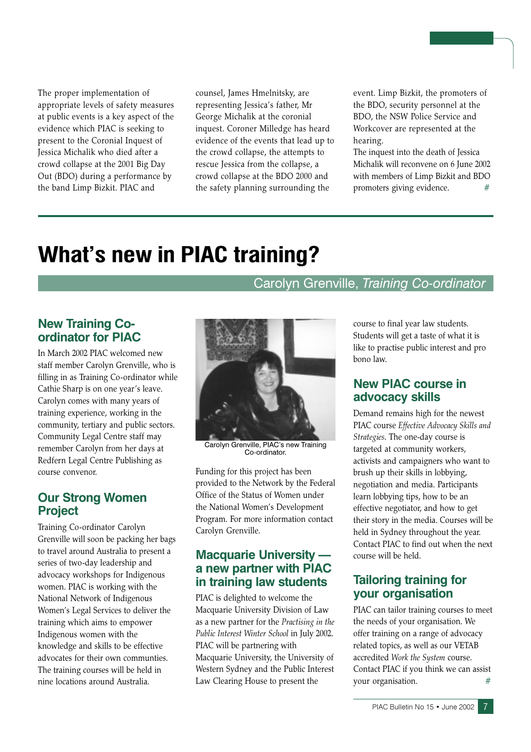The proper implementation of appropriate levels of safety measures at public events is a key aspect of the evidence which PIAC is seeking to present to the Coronial Inquest of Jessica Michalik who died after a crowd collapse at the 2001 Big Day Out (BDO) during a performance by the band Limp Bizkit. PIAC and

counsel, James Hmelnitsky, are representing Jessica's father, Mr George Michalik at the coronial inquest. Coroner Milledge has heard evidence of the events that lead up to the crowd collapse, the attempts to rescue Jessica from the collapse, a crowd collapse at the BDO 2000 and the safety planning surrounding the

event. Limp Bizkit, the promoters of the BDO, security personnel at the BDO, the NSW Police Service and Workcover are represented at the hearing.

The inquest into the death of Jessica Michalik will reconvene on 6 June 2002 with members of Limp Bizkit and BDO promoters giving evidence.

# **What's new in PIAC training?**

#### Carolyn Grenville, Training Co-ordinator

#### **New Training Co**ordinator for PIAC

In March 2002 PIAC welcomed new staff member Carolyn Grenville, who is filling in as Training Co-ordinator while Cathie Sharp is on one year's leave. Carolyn comes with many years of training experience, working in the community, tertiary and public sectors. Community Legal Centre staff may remember Carolyn from her days at Redfern Legal Centre Publishing as course convenor.

## **Our Strong Women Project**

Training Co-ordinator Carolyn Grenville will soon be packing her bags to travel around Australia to present a series of two-day leadership and advocacy workshops for Indigenous women. PIAC is working with the National Network of Indigenous Women's Legal Services to deliver the training which aims to empower Indigenous women with the knowledge and skills to be effective advocates for their own communties. The training courses will be held in nine locations around Australia.



Carolyn Grenville, PIAC's new Training Co-ordinator.

Funding for this project has been provided to the Network by the Federal Office of the Status of Women under the National Women's Development Program. For more information contact Carolyn Grenville.

#### **Macquarie University** a new partner with PIAC in training law students

PIAC is delighted to welcome the Macquarie University Division of Law as a new partner for the Practising in the Public Interest Winter School in July 2002. PIAC will be partnering with Macquarie University, the University of Western Sydney and the Public Interest Law Clearing House to present the

course to final year law students. Students will get a taste of what it is like to practise public interest and pro bono law

## **New PIAC course in** advocacy skills

Demand remains high for the newest PIAC course Effective Advocacy Skills and Strategies. The one-day course is targeted at community workers, activists and campaigners who want to brush up their skills in lobbying, negotiation and media. Participants learn lobbying tips, how to be an effective negotiator, and how to get their story in the media. Courses will be held in Sydney throughout the year. Contact PIAC to find out when the next course will be held.

## **Tailoring training for your organisation**

PIAC can tailor training courses to meet the needs of your organisation. We offer training on a range of advocacy related topics, as well as our VETAB accredited Work the System course. Contact PIAC if you think we can assist your organisation.  $#$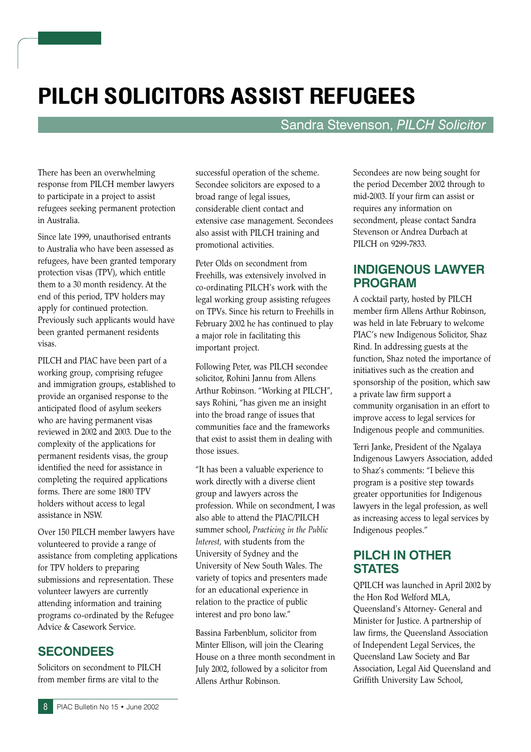# PILCH SOLICITORS ASSIST REFUGEES

#### Sandra Stevenson, PILCH Solicitor

There has been an overwhelming response from PILCH member lawyers to participate in a project to assist refugees seeking permanent protection in Australia.

Since late 1999, unauthorised entrants to Australia who have been assessed as refugees, have been granted temporary protection visas (TPV), which entitle them to a 30 month residency. At the end of this period, TPV holders may apply for continued protection. Previously such applicants would have been granted permanent residents visas.

PILCH and PIAC have been part of a working group, comprising refugee and immigration groups, established to provide an organised response to the anticipated flood of asylum seekers who are having permanent visas reviewed in 2002 and 2003. Due to the complexity of the applications for permanent residents visas, the group identified the need for assistance in completing the required applications forms. There are some 1800 TPV holders without access to legal assistance in NSW.

Over 150 PILCH member lawyers have volunteered to provide a range of assistance from completing applications for TPV holders to preparing submissions and representation. These volunteer lawyers are currently attending information and training programs co-ordinated by the Refugee Advice & Casework Service.

#### **SECONDEES**

Solicitors on secondment to PILCH from member firms are vital to the

successful operation of the scheme. Secondee solicitors are exposed to a broad range of legal issues, considerable client contact and extensive case management. Secondees also assist with PILCH training and promotional activities.

Peter Olds on secondment from Freehills, was extensively involved in co-ordinating PILCH's work with the legal working group assisting refugees on TPVs. Since his return to Freehills in February 2002 he has continued to play a major role in facilitating this important project.

Following Peter, was PILCH secondee solicitor, Rohini Jannu from Allens Arthur Robinson. "Working at PILCH", says Rohini, "has given me an insight into the broad range of issues that communities face and the frameworks that exist to assist them in dealing with those issues.

"It has been a valuable experience to work directly with a diverse client group and lawyers across the profession. While on secondment, I was also able to attend the PIAC/PILCH summer school, Practicing in the Public Interest, with students from the University of Sydney and the University of New South Wales. The variety of topics and presenters made for an educational experience in relation to the practice of public interest and pro bono law."

Bassina Farbenblum, solicitor from Minter Ellison, will join the Clearing House on a three month secondment in July 2002, followed by a solicitor from Allens Arthur Robinson.

Secondees are now being sought for the period December 2002 through to mid-2003. If your firm can assist or requires any information on secondment, please contact Sandra Stevenson or Andrea Durbach at PILCH on 9299-7833.

#### **INDIGENOUS LAWYER PROGRAM**

A cocktail party, hosted by PILCH member firm Allens Arthur Robinson, was held in late February to welcome PIAC's new Indigenous Solicitor, Shaz Rind. In addressing guests at the function, Shaz noted the importance of initiatives such as the creation and sponsorship of the position, which saw a private law firm support a community organisation in an effort to improve access to legal services for Indigenous people and communities.

Terri Janke, President of the Ngalaya Indigenous Lawyers Association, added to Shaz's comments: "I believe this program is a positive step towards greater opportunities for Indigenous lawyers in the legal profession, as well as increasing access to legal services by Indigenous peoples."

#### **PILCH IN OTHER STATES**

QPILCH was launched in April 2002 by the Hon Rod Welford MLA, Queensland's Attorney- General and Minister for Justice. A partnership of law firms, the Queensland Association of Independent Legal Services, the Queensland Law Society and Bar Association, Legal Aid Queensland and Griffith University Law School,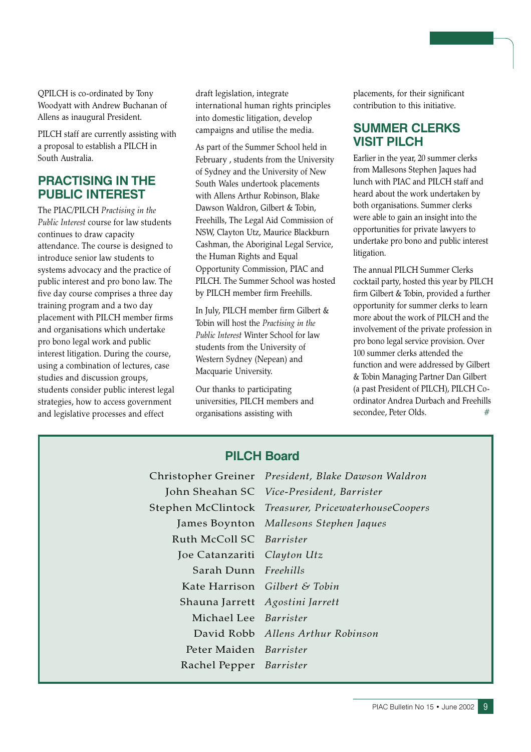QPILCH is co-ordinated by Tony Woodvatt with Andrew Buchanan of Allens as inaugural President.

PILCH staff are currently assisting with a proposal to establish a PILCH in South Australia.

#### **PRACTISING IN THE PUBLIC INTEREST**

The PIAC/PILCH Practising in the Public Interest course for law students continues to draw capacity attendance. The course is designed to introduce senior law students to systems advocacy and the practice of public interest and pro bono law. The five day course comprises a three day training program and a two day placement with PILCH member firms and organisations which undertake pro bono legal work and public interest litigation. During the course, using a combination of lectures, case studies and discussion groups, students consider public interest legal strategies, how to access government and legislative processes and effect

draft legislation, integrate international human rights principles into domestic litigation, develop campaigns and utilise the media.

As part of the Summer School held in February, students from the University of Sydney and the University of New South Wales undertook placements with Allens Arthur Robinson, Blake Dawson Waldron, Gilbert & Tobin, Freehills, The Legal Aid Commission of NSW, Clayton Utz, Maurice Blackburn Cashman, the Aboriginal Legal Service, the Human Rights and Equal Opportunity Commission, PIAC and PILCH. The Summer School was hosted by PILCH member firm Freehills.

In July, PILCH member firm Gilbert & Tobin will host the Practising in the Public Interest Winter School for law students from the University of Western Sydney (Nepean) and Macquarie University.

Our thanks to participating universities, PILCH members and organisations assisting with

placements, for their significant contribution to this initiative.

#### **SUMMER CLERKS VISIT PILCH**

Earlier in the year, 20 summer clerks from Mallesons Stephen Jaques had lunch with PIAC and PILCH staff and heard about the work undertaken by both organisations. Summer clerks were able to gain an insight into the opportunities for private lawyers to undertake pro bono and public interest litigation.

The annual PILCH Summer Clerks cocktail party, hosted this year by PILCH firm Gilbert & Tobin, provided a further opportunity for summer clerks to learn more about the work of PILCH and the involvement of the private profession in pro bono legal service provision. Over 100 summer clerks attended the function and were addressed by Gilbert & Tobin Managing Partner Dan Gilbert (a past President of PILCH), PILCH Coordinator Andrea Durbach and Freehills secondee, Peter Olds.

#### **PILCH Board**

Ruth McColl SC Barrister Joe Catanzariti Clayton Utz Sarah Dunn Freehills Kate Harrison Gilbert & Tobin Shauna Jarrett Agostini Jarrett Michael Lee Barrister Peter Maiden Barrister Rachel Pepper Barrister

Christopher Greiner President, Blake Dawson Waldron John Sheahan SC Vice-President, Barrister Stephen McClintock Treasurer, PricewaterhouseCoopers James Boynton Mallesons Stephen Jaques David Robb Allens Arthur Robinson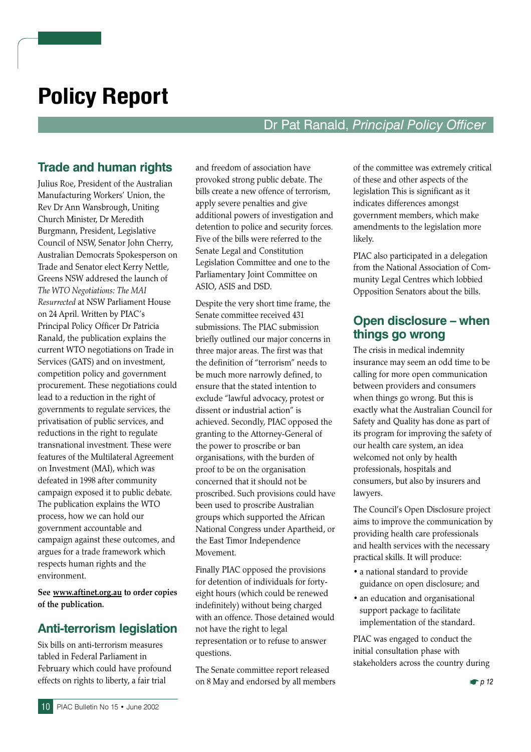# **Policy Report**

# Dr Pat Ranald, Principal Policy Officer

# **Trade and human rights**

Julius Roe, President of the Australian Manufacturing Workers' Union, the Rev Dr Ann Wansbrough, Uniting Church Minister, Dr Meredith Burgmann, President, Legislative Council of NSW, Senator John Cherry, Australian Democrats Spokesperson on Trade and Senator elect Kerry Nettle, Greens NSW addresed the launch of The WTO Negotiations: The MAI Resurrected at NSW Parliament House on 24 April. Written by PIAC's Principal Policy Officer Dr Patricia Ranald, the publication explains the current WTO negotiations on Trade in Services (GATS) and on investment, competition policy and government procurement. These negotiations could lead to a reduction in the right of governments to regulate services, the privatisation of public services, and reductions in the right to regulate transnational investment. These were features of the Multilateral Agreement on Investment (MAI), which was defeated in 1998 after community campaign exposed it to public debate. The publication explains the WTO process, how we can hold our government accountable and campaign against these outcomes, and argues for a trade framework which respects human rights and the environment.

See www.aftinet.org.au to order copies of the publication.

## **Anti-terrorism legislation**

Six bills on anti-terrorism measures tabled in Federal Parliament in February which could have profound effects on rights to liberty, a fair trial

and freedom of association have provoked strong public debate. The bills create a new offence of terrorism, apply severe penalties and give additional powers of investigation and detention to police and security forces. Five of the bills were referred to the Senate Legal and Constitution Legislation Committee and one to the Parliamentary Joint Committee on ASIO, ASIS and DSD.

Despite the very short time frame, the Senate committee received 431 submissions. The PIAC submission briefly outlined our major concerns in three major areas. The first was that the definition of "terrorism" needs to be much more narrowly defined, to ensure that the stated intention to exclude "lawful advocacy, protest or dissent or industrial action" is achieved. Secondly, PIAC opposed the granting to the Attorney-General of the power to proscribe or ban organisations, with the burden of proof to be on the organisation concerned that it should not be proscribed. Such provisions could have been used to proscribe Australian groups which supported the African National Congress under Apartheid, or the East Timor Independence Movement.

Finally PIAC opposed the provisions for detention of individuals for fortyeight hours (which could be renewed indefinitely) without being charged with an offence. Those detained would not have the right to legal representation or to refuse to answer questions.

The Senate committee report released on 8 May and endorsed by all members of the committee was extremely critical of these and other aspects of the legislation This is significant as it indicates differences amongst government members, which make amendments to the legislation more likely.

PIAC also participated in a delegation from the National Association of Community Legal Centres which lobbied Opposition Senators about the bills.

## Open disclosure – when things go wrong

The crisis in medical indemnity insurance may seem an odd time to be calling for more open communication between providers and consumers when things go wrong. But this is exactly what the Australian Council for Safety and Quality has done as part of its program for improving the safety of our health care system, an idea welcomed not only by health professionals, hospitals and consumers, but also by insurers and lawyers.

The Council's Open Disclosure project aims to improve the communication by providing health care professionals and health services with the necessary practical skills. It will produce:

- a national standard to provide guidance on open disclosure; and
- an education and organisational support package to facilitate implementation of the standard.

PIAC was engaged to conduct the initial consultation phase with stakeholders across the country during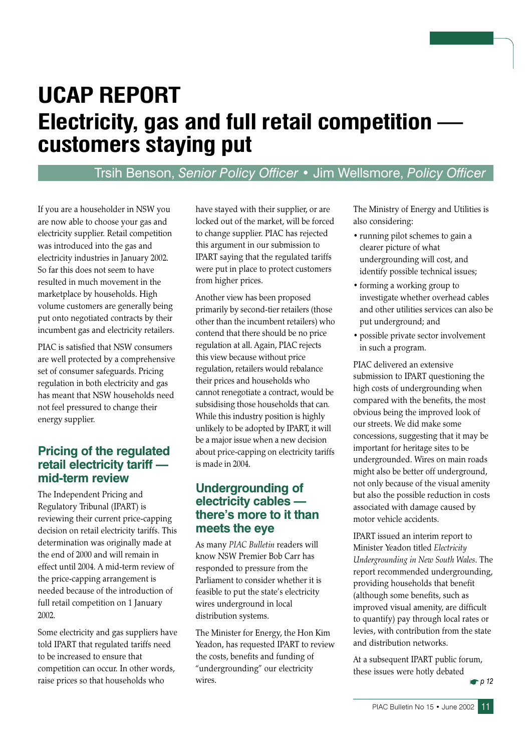# **UCAP REPORT** Electricity, gas and full retail competition customers staying put

# Trsih Benson, Senior Policy Officer • Jim Wellsmore, Policy Officer

If you are a householder in NSW you are now able to choose your gas and electricity supplier. Retail competition was introduced into the gas and electricity industries in January 2002. So far this does not seem to have resulted in much movement in the marketplace by households. High volume customers are generally being put onto negotiated contracts by their incumbent gas and electricity retailers.

PIAC is satisfied that NSW consumers are well protected by a comprehensive set of consumer safeguards. Pricing regulation in both electricity and gas has meant that NSW households need not feel pressured to change their energy supplier.

#### **Pricing of the regulated** retail electricity tariff mid-term review

The Independent Pricing and Regulatory Tribunal (IPART) is reviewing their current price-capping decision on retail electricity tariffs. This determination was originally made at the end of 2000 and will remain in effect until 2004. A mid-term review of the price-capping arrangement is needed because of the introduction of full retail competition on 1 January 2002.

Some electricity and gas suppliers have told IPART that regulated tariffs need to be increased to ensure that competition can occur. In other words, raise prices so that households who

have stayed with their supplier, or are locked out of the market, will be forced to change supplier. PIAC has rejected this argument in our submission to IPART saying that the regulated tariffs were put in place to protect customers from higher prices.

Another view has been proposed primarily by second-tier retailers (those other than the incumbent retailers) who contend that there should be no price regulation at all. Again, PIAC rejects this view because without price regulation, retailers would rebalance their prices and households who cannot renegotiate a contract, would be subsidising those households that can. While this industry position is highly unlikely to be adopted by IPART, it will be a major issue when a new decision about price-capping on electricity tariffs is made in 2004.

#### Undergrounding of electricity cables there's more to it than meets the eve

As many PIAC Bulletin readers will know NSW Premier Bob Carr has responded to pressure from the Parliament to consider whether it is feasible to put the state's electricity wires underground in local distribution systems.

The Minister for Energy, the Hon Kim Yeadon, has requested IPART to review the costs, benefits and funding of "undergrounding" our electricity wires.

The Ministry of Energy and Utilities is also considering:

- running pilot schemes to gain a clearer picture of what undergrounding will cost, and identify possible technical issues;
- forming a working group to investigate whether overhead cables and other utilities services can also be put underground; and
- · possible private sector involvement in such a program.

PIAC delivered an extensive submission to IPART questioning the high costs of undergrounding when compared with the benefits, the most obvious being the improved look of our streets. We did make some concessions, suggesting that it may be important for heritage sites to be undergrounded. Wires on main roads might also be better off underground, not only because of the visual amenity but also the possible reduction in costs associated with damage caused by motor vehicle accidents.

IPART issued an interim report to Minister Yeadon titled Electricity Undergrounding in New South Wales. The report recommended undergrounding, providing households that benefit (although some benefits, such as improved visual amenity, are difficult to quantify) pay through local rates or levies, with contribution from the state and distribution networks

At a subsequent IPART public forum, these issues were hotly debated

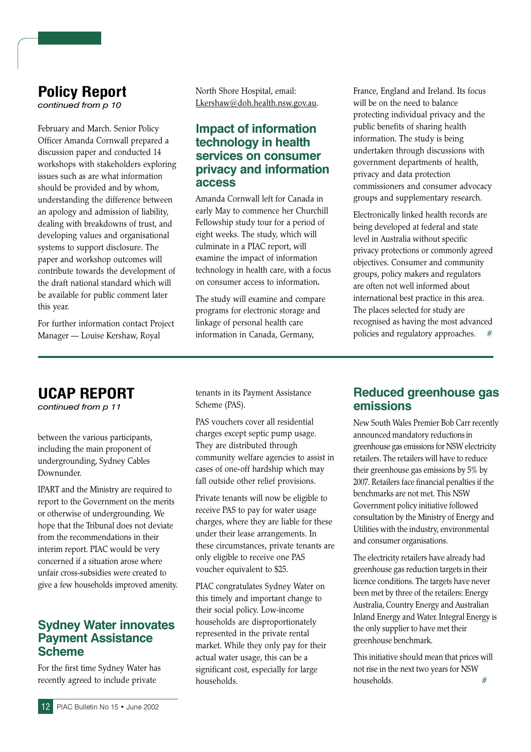# **Policy Report**

continued from p 10

February and March. Senior Policy Officer Amanda Cornwall prepared a discussion paper and conducted 14 workshops with stakeholders exploring issues such as are what information should be provided and by whom, understanding the difference between an apology and admission of liability, dealing with breakdowns of trust, and developing values and organisational systems to support disclosure. The paper and workshop outcomes will contribute towards the development of the draft national standard which will be available for public comment later this year.

For further information contact Project Manager - Louise Kershaw, Royal

North Shore Hospital, email: Lkershaw@doh.health.nsw.gov.au.

#### **Impact of information** technology in health services on consumer privacy and information **access**

Amanda Cornwall left for Canada in early May to commence her Churchill Fellowship study tour for a period of eight weeks. The study, which will culminate in a PIAC report, will examine the impact of information technology in health care, with a focus on consumer access to information.

The study will examine and compare programs for electronic storage and linkage of personal health care information in Canada, Germany,

France, England and Ireland. Its focus will be on the need to balance protecting individual privacy and the public benefits of sharing health information. The study is being undertaken through discussions with government departments of health, privacy and data protection commissioners and consumer advocacy groups and supplementary research.

Electronically linked health records are being developed at federal and state level in Australia without specific privacy protections or commonly agreed objectives. Consumer and community groups, policy makers and regulators are often not well informed about international best practice in this area. The places selected for study are recognised as having the most advanced policies and regulatory approaches.

# **UCAP REPORT**

continued from p 11

between the various participants, including the main proponent of undergrounding, Sydney Cables Downunder.

IPART and the Ministry are required to report to the Government on the merits or otherwise of undergrounding. We hope that the Tribunal does not deviate from the recommendations in their interim report. PIAC would be very concerned if a situation arose where unfair cross-subsidies were created to give a few households improved amenity.

#### **Sydney Water innovates Payment Assistance Scheme**

For the first time Sydney Water has recently agreed to include private

tenants in its Payment Assistance Scheme (PAS).

PAS vouchers cover all residential charges except septic pump usage. They are distributed through community welfare agencies to assist in cases of one-off hardship which may fall outside other relief provisions.

Private tenants will now be eligible to receive PAS to pay for water usage charges, where they are liable for these under their lease arrangements. In these circumstances, private tenants are only eligible to receive one PAS voucher equivalent to \$25.

PIAC congratulates Sydney Water on this timely and important change to their social policy. Low-income households are disproportionately represented in the private rental market. While they only pay for their actual water usage, this can be a significant cost, especially for large households.

#### **Reduced greenhouse gas** emissions

New South Wales Premier Bob Carr recently announced mandatory reductions in greenhouse gas emissions for NSW electricity retailers. The retailers will have to reduce their greenhouse gas emissions by 5% by 2007. Retailers face financial penalties if the benchmarks are not met. This NSW Government policy initiative followed consultation by the Ministry of Energy and Utilities with the industry, environmental and consumer organisations.

The electricity retailers have already had greenhouse gas reduction targets in their licence conditions. The targets have never been met by three of the retailers: Energy Australia, Country Energy and Australian Inland Energy and Water. Integral Energy is the only supplier to have met their greenhouse benchmark.

This initiative should mean that prices will not rise in the next two years for NSW households.  $#$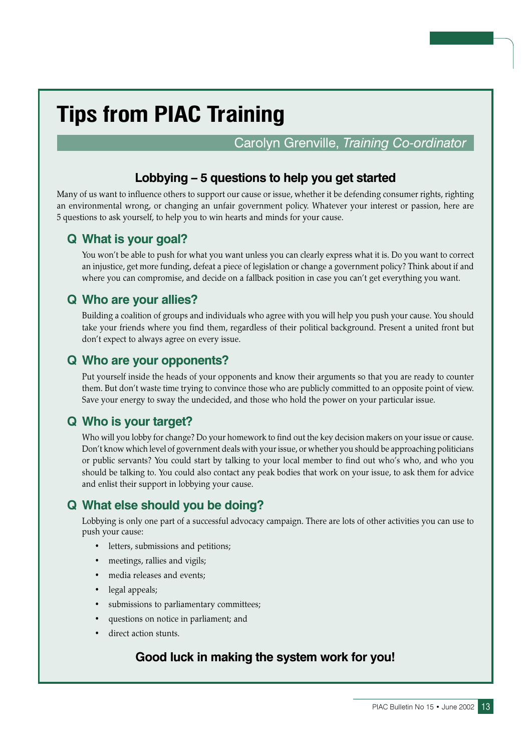# **Tips from PIAC Training**

# Carolyn Grenville, Training Co-ordinator

## Lobbying - 5 questions to help you get started

Many of us want to influence others to support our cause or issue, whether it be defending consumer rights, righting an environmental wrong, or changing an unfair government policy. Whatever your interest or passion, here are 5 questions to ask yourself, to help you to win hearts and minds for your cause.

## Q What is your goal?

You won't be able to push for what you want unless you can clearly express what it is. Do you want to correct an injustice, get more funding, defeat a piece of legislation or change a government policy? Think about if and where you can compromise, and decide on a fallback position in case you can't get everything you want.

## **Q Who are your allies?**

Building a coalition of groups and individuals who agree with you will help you push your cause. You should take your friends where you find them, regardless of their political background. Present a united front but don't expect to always agree on every issue.

#### Q Who are your opponents?

Put yourself inside the heads of your opponents and know their arguments so that you are ready to counter them. But don't waste time trying to convince those who are publicly committed to an opposite point of view. Save your energy to sway the undecided, and those who hold the power on your particular issue.

## Q Who is your target?

Who will you lobby for change? Do your homework to find out the key decision makers on your issue or cause. Don't know which level of government deals with your issue, or whether you should be approaching politicians or public servants? You could start by talking to your local member to find out who's who, and who you should be talking to. You could also contact any peak bodies that work on your issue, to ask them for advice and enlist their support in lobbying your cause.

# Q What else should you be doing?

Lobbying is only one part of a successful advocacy campaign. There are lots of other activities you can use to push your cause:

- letters, submissions and petitions;
- meetings, rallies and vigils;
- media releases and events;
- legal appeals;
- submissions to parliamentary committees;
- questions on notice in parliament; and
- direct action stunts.

## Good luck in making the system work for you!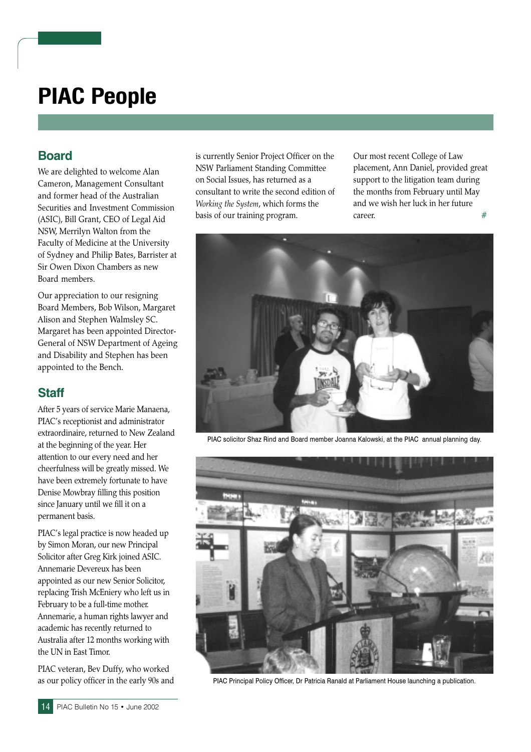# **PIAC People**

## **Board**

We are delighted to welcome Alan Cameron, Management Consultant and former head of the Australian Securities and Investment Commission (ASIC), Bill Grant, CEO of Legal Aid NSW, Merrilyn Walton from the Faculty of Medicine at the University of Sydney and Philip Bates, Barrister at Sir Owen Dixon Chambers as new Board members.

Our appreciation to our resigning Board Members, Bob Wilson, Margaret Alison and Stephen Walmsley SC. Margaret has been appointed Director-General of NSW Department of Ageing and Disability and Stephen has been appointed to the Bench.

## **Staff**

After 5 years of service Marie Manaena, PIAC's receptionist and administrator extraordinaire, returned to New Zealand at the beginning of the year. Her attention to our every need and her cheerfulness will be greatly missed. We have been extremely fortunate to have Denise Mowbray filling this position since January until we fill it on a permanent basis.

PIAC's legal practice is now headed up by Simon Moran, our new Principal Solicitor after Greg Kirk joined ASIC. Annemarie Devereux has been appointed as our new Senior Solicitor, replacing Trish McEniery who left us in February to be a full-time mother. Annemarie, a human rights lawyer and academic has recently returned to Australia after 12 months working with the UN in East Timor.

PIAC veteran, Bev Duffy, who worked as our policy officer in the early 90s and is currently Senior Project Officer on the NSW Parliament Standing Committee on Social Issues, has returned as a consultant to write the second edition of Working the System, which forms the basis of our training program.

Our most recent College of Law placement, Ann Daniel, provided great support to the litigation team during the months from February until May and we wish her luck in her future career.  $#$ 



PIAC solicitor Shaz Rind and Board member Joanna Kalowski, at the PIAC annual planning day.



PIAC Principal Policy Officer, Dr Patricia Ranald at Parliament House launching a publication.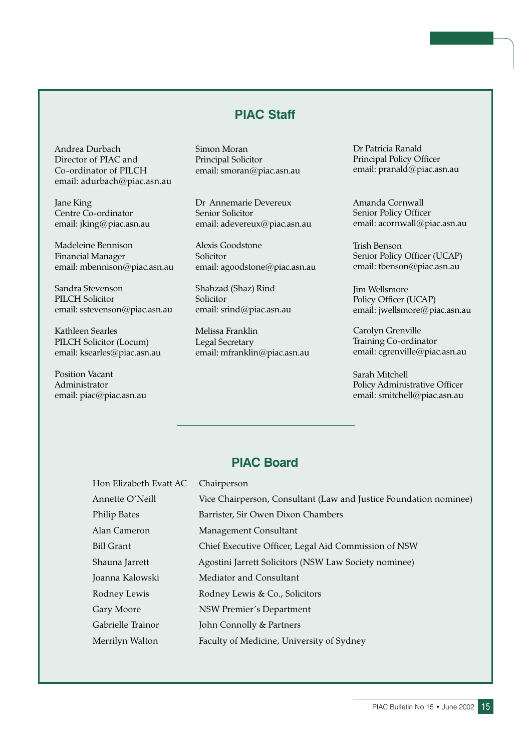## **PIAC Staff**

Andrea Durbach Director of PIAC and Co-ordinator of PILCH email: adurbach@piac.asn.au

Jane King Centre Co-ordinator email: jking@piac.asn.au

Madeleine Bennison **Financial Manager** email: mbennison@piac.asn.au

Sandra Stevenson **PILCH Solicitor** email: sstevenson@piac.asn.au

Kathleen Searles PILCH Solicitor (Locum) email: ksearles@piac.asn.au

**Position Vacant** Administrator email: piac@piac.asn.au Simon Moran Principal Solicitor email: smoran@piac.asn.au

Dr Annemarie Devereux Senior Solicitor email: adevereux@piac.asn.au

Alexis Goodstone Solicitor email: agoodstone@piac.asn.au

Shahzad (Shaz) Rind Solicitor email: srind@piac.asn.au

Melissa Franklin Legal Secretary email: mfranklin@piac.asn.au Dr Patricia Ranald Principal Policy Officer email: pranald@piac.asn.au

Amanda Cornwall Senior Policy Officer email: acornwall@piac.asn.au

**Trish Benson** Senior Policy Officer (UCAP) email: tbenson@piac.asn.au

Jim Wellsmore Policy Officer (UCAP) email: jwellsmore@piac.asn.au

Carolyn Grenville Training Co-ordinator email: cgrenville@piac.asn.au

Sarah Mitchell Policy Administrative Officer email: smitchell@piac.asn.au

#### **PIAC Board**

| Hon Elizabeth Evatt AC | Chairperson                                                       |
|------------------------|-------------------------------------------------------------------|
| Annette O'Neill        | Vice Chairperson, Consultant (Law and Justice Foundation nominee) |
| <b>Philip Bates</b>    | Barrister, Sir Owen Dixon Chambers                                |
| Alan Cameron           | Management Consultant                                             |
| <b>Bill Grant</b>      | Chief Executive Officer, Legal Aid Commission of NSW              |
| Shauna Jarrett         | Agostini Jarrett Solicitors (NSW Law Society nominee)             |
| Joanna Kalowski        | Mediator and Consultant                                           |
| Rodney Lewis           | Rodney Lewis & Co., Solicitors                                    |
| Gary Moore             | NSW Premier's Department                                          |
| Gabrielle Trainor      | John Connolly & Partners                                          |
| Merrilyn Walton        | Faculty of Medicine, University of Sydney                         |